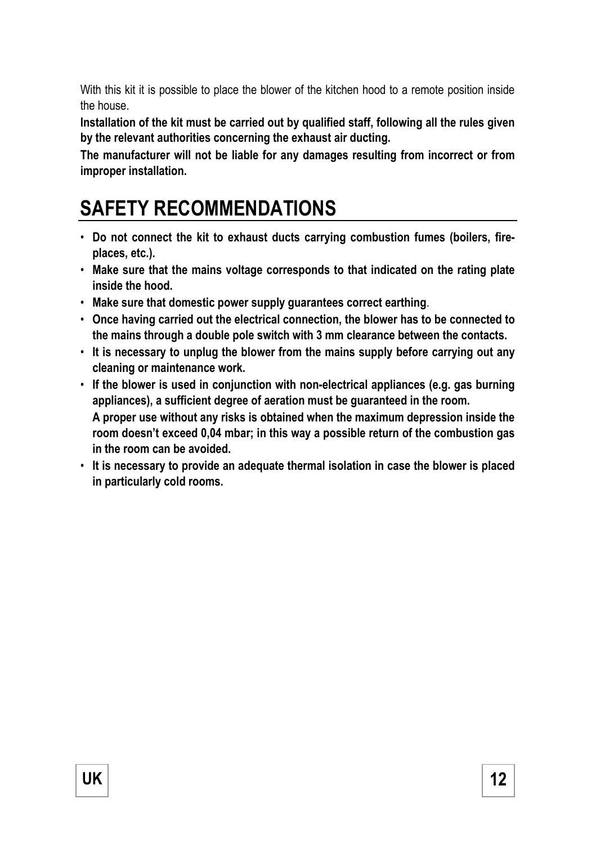With this kit it is possible to place the blower of the kitchen hood to a remote position inside the house.

**Installation of the kit must be carried out by qualified staff, following all the rules given by the relevant authorities concerning the exhaust air ducting.** 

**The manufacturer will not be liable for any damages resulting from incorrect or from improper installation.** 

# **SAFETY RECOMMENDATIONS**

- **Do not connect the kit to exhaust ducts carrying combustion fumes (boilers, fireplaces, etc.).**
- **Make sure that the mains voltage corresponds to that indicated on the rating plate inside the hood.**
- **Make sure that domestic power supply guarantees correct earthing**.
- **Once having carried out the electrical connection, the blower has to be connected to the mains through a double pole switch with 3 mm clearance between the contacts.**
- **It is necessary to unplug the blower from the mains supply before carrying out any cleaning or maintenance work.**
- **If the blower is used in conjunction with non-electrical appliances (e.g. gas burning appliances), a sufficient degree of aeration must be guaranteed in the room. A proper use without any risks is obtained when the maximum depression inside the room doesn't exceed 0,04 mbar; in this way a possible return of the combustion gas in the room can be avoided.**
- **It is necessary to provide an adequate thermal isolation in case the blower is placed in particularly cold rooms.**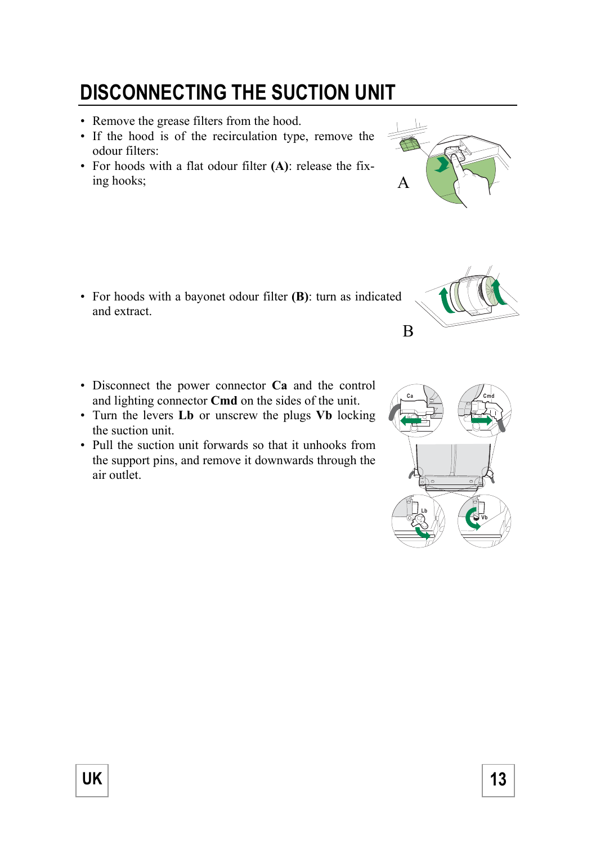# **DISCONNECTING THE SUCTION UNIT**

- Remove the grease filters from the hood.
- If the hood is of the recirculation type, remove the odour filters:
- For hoods with a flat odour filter **(A)**: release the fixing hooks;

- For hoods with a bayonet odour filter **(B)**: turn as indicated and extract.
- Disconnect the power connector **Ca** and the control and lighting connector **Cmd** on the sides of the unit.
- Turn the levers **Lb** or unscrew the plugs **Vb** locking the suction unit.
- Pull the suction unit forwards so that it unhooks from the support pins, and remove it downwards through the air outlet.







B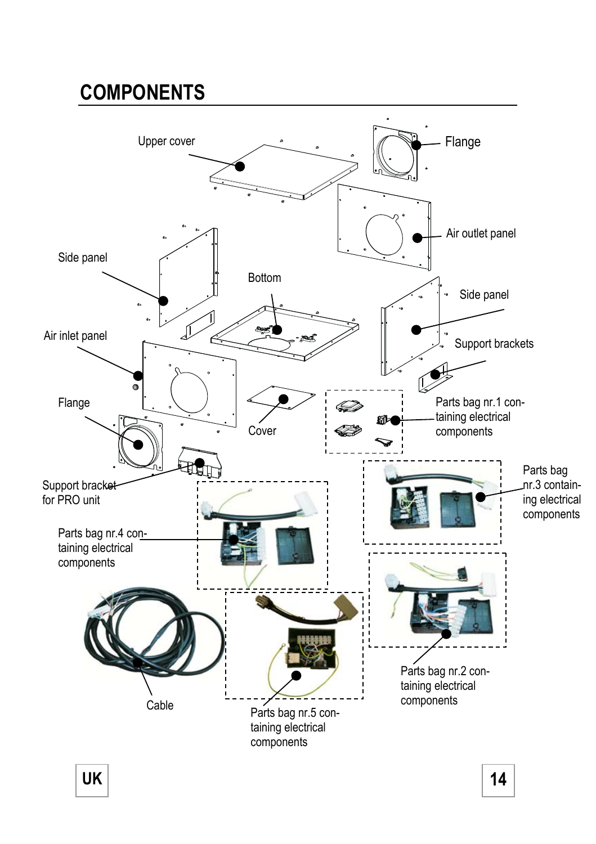# **COMPONENTS**



**UK** 14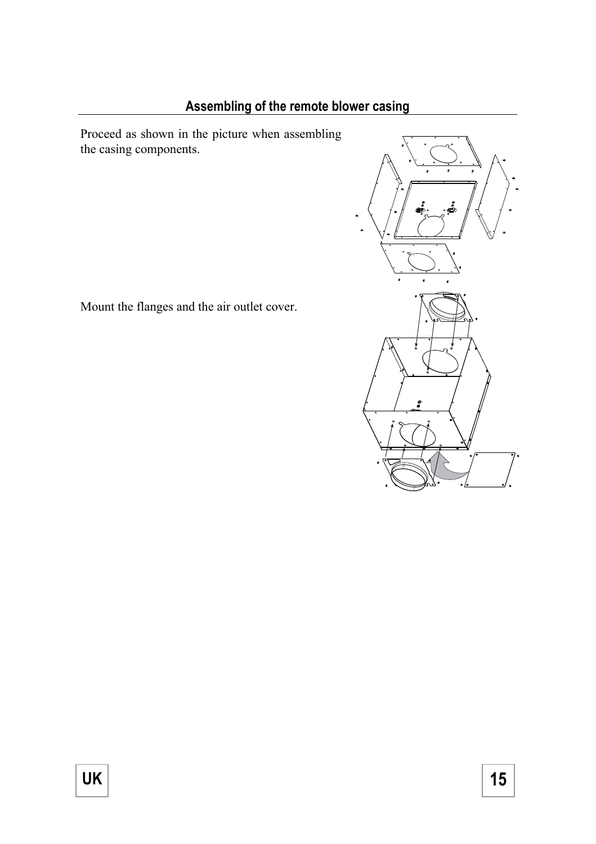## **Assembling of the remote blower casing**

Proceed as shown in the picture when assembling the casing components.

Mount the flanges and the air outlet cover.

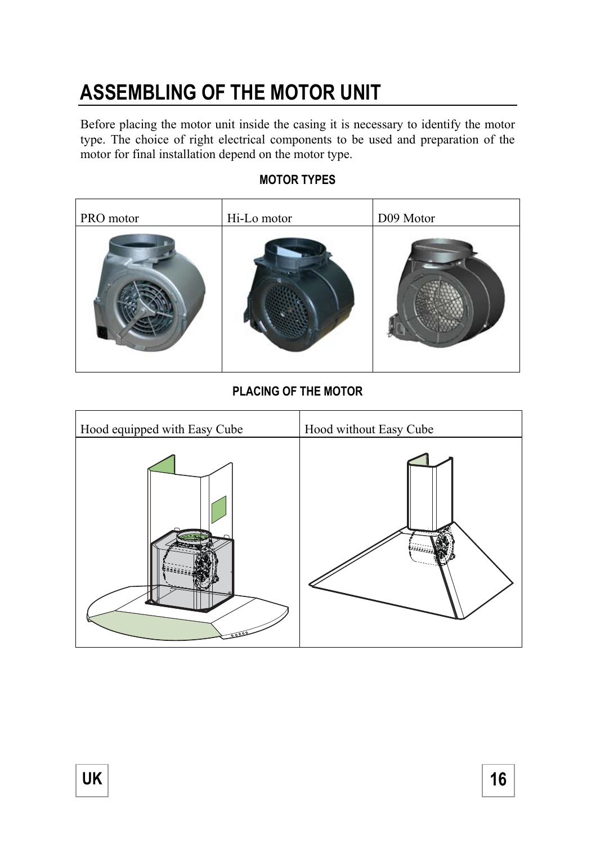# **ASSEMBLING OF THE MOTOR UNIT**

Before placing the motor unit inside the casing it is necessary to identify the motor type. The choice of right electrical components to be used and preparation of the motor for final installation depend on the motor type.

# PRO motor Hi-Lo motor D09 Motor

## **MOTOR TYPES**

## **PLACING OF THE MOTOR**

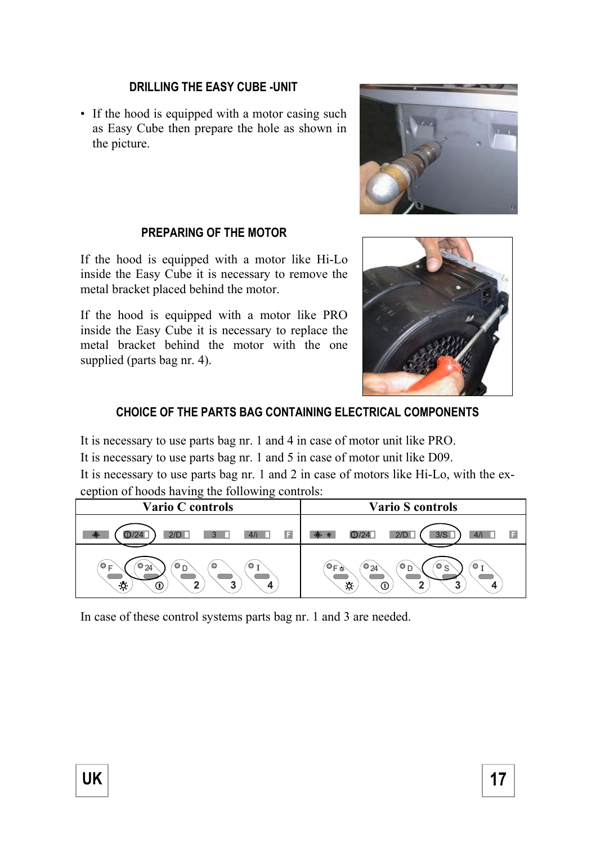#### **DRILLING THE EASY CUBE -UNIT**

• If the hood is equipped with a motor casing such as Easy Cube then prepare the hole as shown in the picture.



#### **PREPARING OF THE MOTOR**

If the hood is equipped with a motor like Hi-Lo inside the Easy Cube it is necessary to remove the metal bracket placed behind the motor.

If the hood is equipped with a motor like PRO inside the Easy Cube it is necessary to replace the metal bracket behind the motor with the one supplied (parts bag nr. 4).



## **CHOICE OF THE PARTS BAG CONTAINING ELECTRICAL COMPONENTS**

It is necessary to use parts bag nr. 1 and 4 in case of motor unit like PRO.

It is necessary to use parts bag nr. 1 and 5 in case of motor unit like D09.

It is necessary to use parts bag nr. 1 and 2 in case of motors like Hi-Lo, with the exception of hoods having the following controls:

| Vario C controls                                                           | Vario S controls                                                          |
|----------------------------------------------------------------------------|---------------------------------------------------------------------------|
| $\Delta$ /i<br>2/D<br>E                                                    | 3/S<br>2/D<br>в<br>124<br>41<br>米                                         |
| ◒ឹ<br>Ό<br>$\circ$<br>o<br>$\bullet_{24}$<br>Е<br>÷ó.<br>2<br>2<br>ന<br>Δ. | ۰<br>$\bullet$ F $\alpha$<br>$\bullet$ 24<br>⊍∩<br>Θ<br>S<br>۰.<br>Œ<br>∍ |

In case of these control systems parts bag nr. 1 and 3 are needed.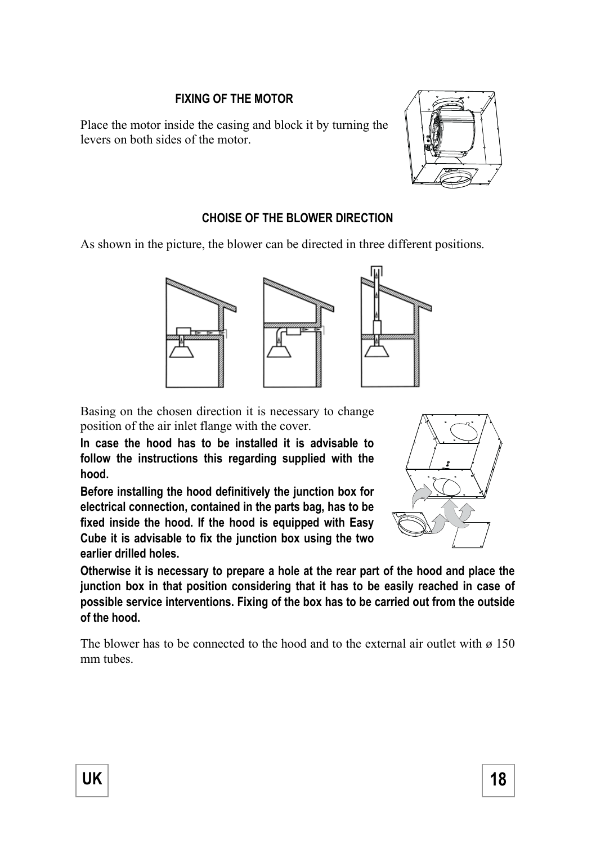### **FIXING OF THE MOTOR**

Place the motor inside the casing and block it by turning the levers on both sides of the motor.



#### **CHOISE OF THE BLOWER DIRECTION**

As shown in the picture, the blower can be directed in three different positions.



Basing on the chosen direction it is necessary to change position of the air inlet flange with the cover.

**In case the hood has to be installed it is advisable to follow the instructions this regarding supplied with the hood.** 

**Before installing the hood definitively the junction box for electrical connection, contained in the parts bag, has to be fixed inside the hood. If the hood is equipped with Easy Cube it is advisable to fix the junction box using the two earlier drilled holes.** 



**Otherwise it is necessary to prepare a hole at the rear part of the hood and place the junction box in that position considering that it has to be easily reached in case of possible service interventions. Fixing of the box has to be carried out from the outside of the hood.** 

The blower has to be connected to the hood and to the external air outlet with  $\varnothing$  150 mm tubes.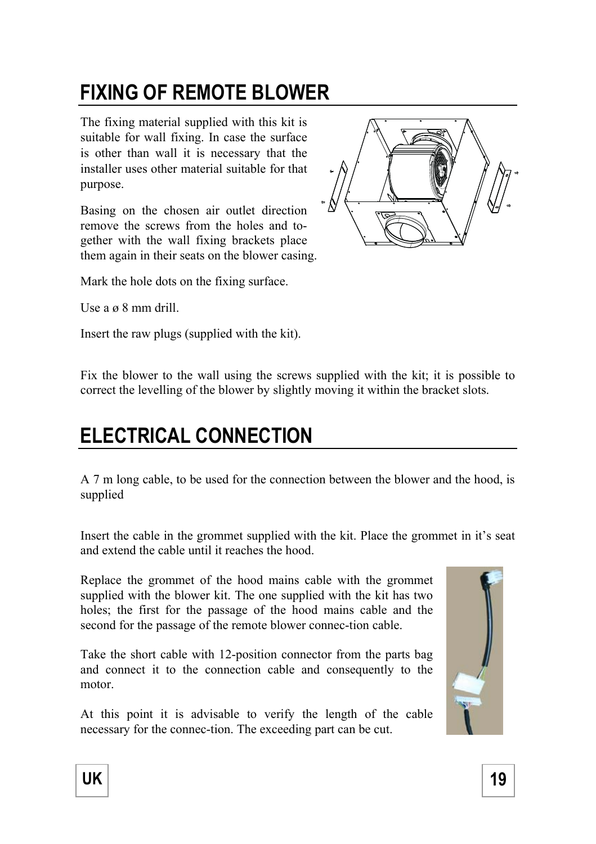# **FIXING OF REMOTE BLOWER**

The fixing material supplied with this kit is suitable for wall fixing. In case the surface is other than wall it is necessary that the installer uses other material suitable for that purpose.

Basing on the chosen air outlet direction remove the screws from the holes and together with the wall fixing brackets place them again in their seats on the blower casing.



Mark the hole dots on the fixing surface.

Use a ø 8 mm drill.

Insert the raw plugs (supplied with the kit).

Fix the blower to the wall using the screws supplied with the kit; it is possible to correct the levelling of the blower by slightly moving it within the bracket slots.

## **ELECTRICAL CONNECTION**

A 7 m long cable, to be used for the connection between the blower and the hood, is supplied

Insert the cable in the grommet supplied with the kit. Place the grommet in it's seat and extend the cable until it reaches the hood.

Replace the grommet of the hood mains cable with the grommet supplied with the blower kit. The one supplied with the kit has two holes; the first for the passage of the hood mains cable and the second for the passage of the remote blower connec-tion cable.

Take the short cable with 12-position connector from the parts bag and connect it to the connection cable and consequently to the motor.

At this point it is advisable to verify the length of the cable necessary for the connec-tion. The exceeding part can be cut.



UK | 19